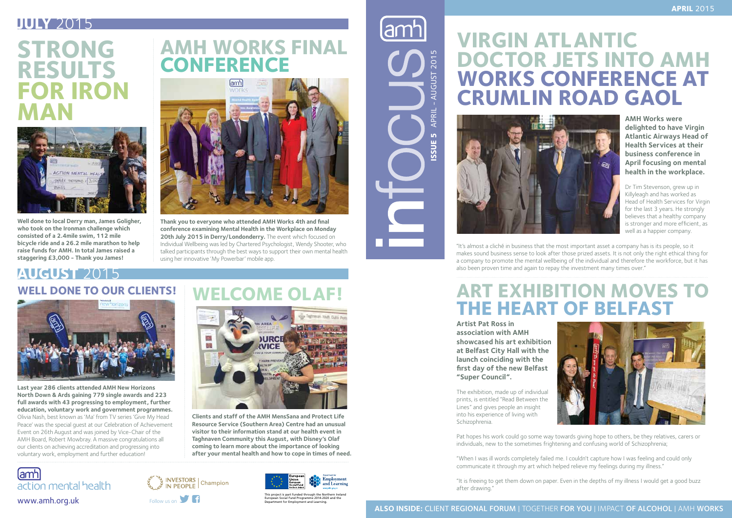**AMH Works were delighted to have Virgin Atlantic Airways Head of Health Services at their business conference in April focusing on mental health in the workplace.**

Dr Tim Stevenson, grew up in Killyleagh and has worked as Head of Health Services for Virgin for the last 3 years. He strongly believes that a healthy company is stronger and more efficient, as well as a happier company.



"It's almost a cliché in business that the most important asset a company has is its people, so it makes sound business sense to look after those prized assets. It is not only the right ethical thing for a company to promote the mental wellbeing of the individual and therefore the workforce, but it has also been proven time and again to repay the investment many times over."

# **VIRGIN ATLANTIC DOCTOR JETS INTO AMH WORKS CONFERENCE AT CRUMLIN ROAD GAOL**



## **ART EXHIBITION MOVES TO THE HEART OF BELFAST**

## **AUGUST** 2015 WELL DONE TO OUR CLIENTS! WELCOME OLAF!



**Artist Pat Ross in association with AMH showcased his art exhibition at Belfast City Hall with the launch coinciding with the first day of the new Belfast "Super Council".**

The exhibition, made up of individual prints, is entitled "Read Between the Lines" and gives people an insight into his experience of living with Schizophrenia.

Pat hopes his work could go some way towards giving hope to others, be they relatives, carers or individuals, new to the sometimes frightening and confusing world of Schizophrenia;

"When I was ill words completely failed me. I couldn't capture how I was feeling and could only communicate it through my art which helped relieve my feelings during my illness."

"It is freeing to get them down on paper. Even in the depths of my illness I would get a good buzz after drawing."



This project is part funded through the Northern Ireland

APRIL - AUGUST 2015 **Issue 5** APRIL - AUGUST 2015  $\mathbf{r}$ **ISSUE** 







## **JULY** 2015

# **STRONG RESULTS FOR IRON MAN**

## **AMH WORKS FINAL CONFERENCE**



**Thank you to everyone who attended AMH Works 4th and final conference examining Mental Health in the Workplace on Monday**  20th July 2015 in Derry/Londonderry. The event which focused on Individual Wellbeing was led by Chartered Psychologist, Wendy Shooter, who talked participants through the best ways to support their own mental health using her innovative 'My Powerbar' mobile app.



**Well done to local Derry man, James Goligher, who took on the Ironman challenge which consisted of a 2.4mile swim, 112 mile bicycle ride and a 26.2 mile marathon to help raise funds for AMH. In total James raised a staggering £3,000 - Thank you James!**

**Clients and staff of the AMH MensSana and Protect Life Resource Service (Southern Area) Centre had an unusual visitor to their information stand at our health event in Taghnaven Community this August, with Disney's Olaf coming to learn more about the importance of looking after your mental health and how to cope in times of need.**

**Last year 286 clients attended AMH New Horizons North Down & Ards gaining 779 single awards and 223 full awards with 43 progressing to employment, further education, voluntary work and government programmes.**  Olivia Nash, best known as 'Ma' from TV series 'Give My Head Peace' was the special guest at our Celebration of Achievement Event on 26th August and was joined by Vice-Chair of the AMH Board, Robert Mowbray. A massive congratulations all our clients on achieving accreditation and progressing into voluntary work, employment and further education!